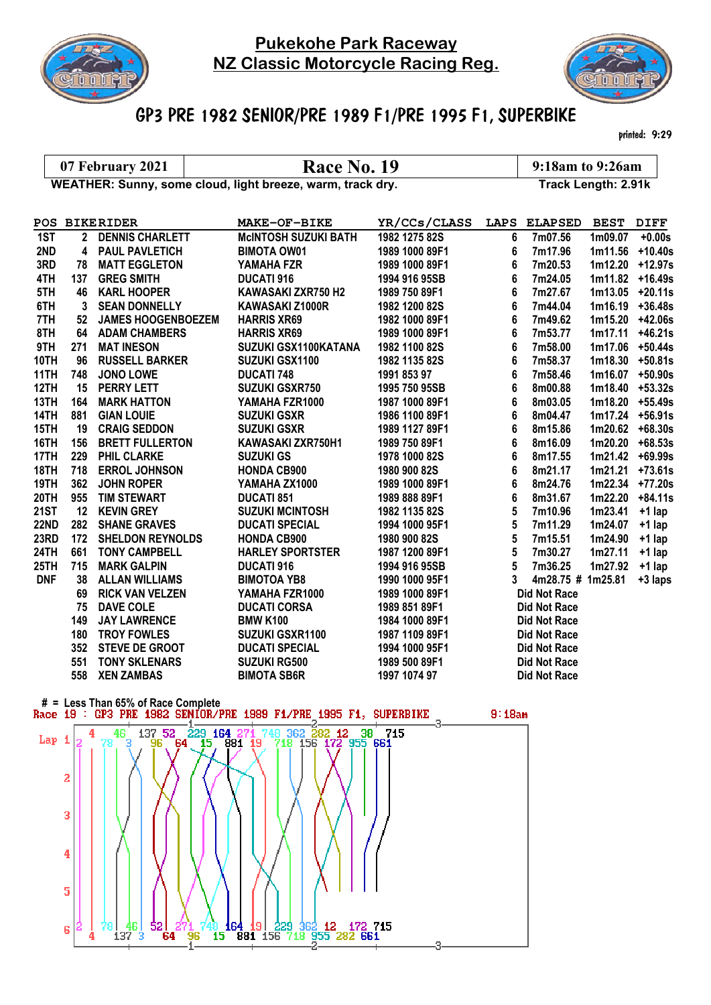

## Pukekohe Park Raceway NZ Classic Motorcycle Racing Reg.



## GP3 PRE 1982 SENIOR/PRE 1989 F1/PRE 1995 F1, SUPERBIKE

printed: 9:29

07 February 2021  $\begin{array}{|l|l|}\n\hline\n07$  February 2021  $\hline\n\end{array}$  Race No. 19 9:18am to 9:26am<br>VEATHER: Sunny, some cloud, light breeze, warm, track dry. Track Length: 2.91k WEATHER: Sunny, some cloud, light breeze, warm, track dry.

|             | <b>POS BIKERIDER</b> |                           | <b>MAKE-OF-BIKE</b>         | YR/CCs/CLASS   |   | LAPS ELAPSED BEST   |                    | <b>DIFF</b>        |
|-------------|----------------------|---------------------------|-----------------------------|----------------|---|---------------------|--------------------|--------------------|
| 1ST         | $2^{\circ}$          | <b>DENNIS CHARLETT</b>    | <b>MCINTOSH SUZUKI BATH</b> | 1982 1275 82S  | 6 | 7m07.56             | 1m09.07            | $+0.00s$           |
| 2ND         |                      | 4 PAUL PAVLETICH          | <b>BIMOTA OW01</b>          | 1989 1000 89F1 | 6 | 7m17.96             |                    | 1m11.56 +10.40s    |
| 3RD         | 78                   | <b>MATT EGGLETON</b>      | YAMAHA FZR                  | 1989 1000 89F1 | 6 | 7m20.53             | 1m12.20 +12.97s    |                    |
| 4TH         | 137                  | <b>GREG SMITH</b>         | <b>DUCATI 916</b>           | 1994 916 95SB  | 6 | 7m24.05             | 1m11.82            | +16.49s            |
| 5TH         | 46                   | <b>KARL HOOPER</b>        | KAWASAKI ZXR750 H2          | 1989 750 89F1  | 6 | 7m27.67             |                    | $1m13.05$ +20.11s  |
| 6TH         | 3                    | <b>SEAN DONNELLY</b>      | KAWASAKI Z1000R             | 1982 1200 82S  | 6 | 7m44.04             | 1m16.19            | $+36.48s$          |
| 7TH         | 52                   | <b>JAMES HOOGENBOEZEM</b> | <b>HARRIS XR69</b>          | 1982 1000 89F1 | 6 | 7m49.62             | $1m15.20 +42.06s$  |                    |
| 8TH         |                      | <b>64 ADAM CHAMBERS</b>   | <b>HARRIS XR69</b>          | 1989 1000 89F1 | 6 | 7m53.77             | 1m17.11            | $+46.21s$          |
| 9TH         | 271                  | <b>MAT INESON</b>         | SUZUKI GSX1100KATANA        | 1982 1100 82S  | 6 | 7m58.00             |                    | $1m17.06$ +50.44s  |
| 10TH        | 96                   | <b>RUSSELL BARKER</b>     | <b>SUZUKI GSX1100</b>       | 1982 1135 82S  | 6 | 7m58.37             | $1m18.30 + 50.81s$ |                    |
| 11TH        | 748                  | JONO LOWE                 | <b>DUCATI 748</b>           | 1991 853 97    | 6 | 7m58.46             | 1m16.07            | $+50.90s$          |
| 12TH        | 15                   | <b>PERRY LETT</b>         | <b>SUZUKI GSXR750</b>       | 1995 750 95SB  | 6 | 8m00.88             | $1m18.40$ +53.32s  |                    |
| 13TH        | 164                  | <b>MARK HATTON</b>        | YAMAHA FZR1000              | 1987 1000 89F1 | 6 | 8m03.05             | 1m18.20 +55.49s    |                    |
| 14TH        | 881                  | <b>GIAN LOUIE</b>         | <b>SUZUKI GSXR</b>          | 1986 1100 89F1 | 6 | 8m04.47             | 1m17.24            | $+56.91s$          |
| 15TH        | 19                   | <b>CRAIG SEDDON</b>       | <b>SUZUKI GSXR</b>          | 1989 1127 89F1 | 6 | 8m15.86             |                    | $1m20.62 + 68.30s$ |
| 16TH        | 156                  | <b>BRETT FULLERTON</b>    | KAWASAKI ZXR750H1           | 1989 750 89F1  | 6 | 8m16.09             | 1m20.20            | $+68.53s$          |
| 17TH        | 229                  | <b>PHIL CLARKE</b>        | <b>SUZUKI GS</b>            | 1978 1000 82S  | 6 | 8m17.55             | $1m21.42 +69.99s$  |                    |
| 18TH        | 718                  | <b>ERROL JOHNSON</b>      | <b>HONDA CB900</b>          | 1980 900 82S   | 6 | 8m21.17             | 1m21.21            | $+73.61s$          |
| 19TH        | 362                  | <b>JOHN ROPER</b>         | YAMAHA ZX1000               | 1989 1000 89F1 | 6 | 8m24.76             | 1m22.34            | $+77.20s$          |
| 20TH        | 955                  | <b>TIM STEWART</b>        | <b>DUCATI 851</b>           | 1989 888 89F1  | 6 | 8m31.67             | 1m22.20            | $+84.11s$          |
| <b>21ST</b> | 12                   | <b>KEVIN GREY</b>         | <b>SUZUKI MCINTOSH</b>      | 1982 1135 82S  | 5 | 7m10.96             | 1m23.41            | $+1$ lap           |
| <b>22ND</b> | 282                  | <b>SHANE GRAVES</b>       | <b>DUCATI SPECIAL</b>       | 1994 1000 95F1 | 5 | 7m11.29             | 1m24.07            | $+1$ lap           |
| 23RD        | 172                  | <b>SHELDON REYNOLDS</b>   | <b>HONDA CB900</b>          | 1980 900 82S   | 5 | 7m15.51             | 1m24.90            | $+1$ lap           |
| 24TH        | 661                  | <b>TONY CAMPBELL</b>      | <b>HARLEY SPORTSTER</b>     | 1987 1200 89F1 | 5 | 7m30.27             | 1m27.11            | $+1$ lap           |
| 25TH        | 715                  | <b>MARK GALPIN</b>        | <b>DUCATI 916</b>           | 1994 916 95SB  | 5 | 7m36.25             | 1m27.92            | $+1$ lap           |
| <b>DNF</b>  | 38                   | <b>ALLAN WILLIAMS</b>     | <b>BIMOTOA YB8</b>          | 1990 1000 95F1 | 3 | 4m28.75 # 1m25.81   |                    | +3 laps            |
|             | 69                   | <b>RICK VAN VELZEN</b>    | YAMAHA FZR1000              | 1989 1000 89F1 |   | <b>Did Not Race</b> |                    |                    |
|             | 75                   | <b>DAVE COLE</b>          | <b>DUCATI CORSA</b>         | 1989 851 89F1  |   | <b>Did Not Race</b> |                    |                    |
|             | 149                  | <b>JAY LAWRENCE</b>       | <b>BMW K100</b>             | 1984 1000 89F1 |   | <b>Did Not Race</b> |                    |                    |
|             | 180                  | <b>TROY FOWLES</b>        | <b>SUZUKI GSXR1100</b>      | 1987 1109 89F1 |   | <b>Did Not Race</b> |                    |                    |
|             | 352                  | <b>STEVE DE GROOT</b>     | <b>DUCATI SPECIAL</b>       | 1994 1000 95F1 |   | <b>Did Not Race</b> |                    |                    |
|             | 551                  | <b>TONY SKLENARS</b>      | <b>SUZUKI RG500</b>         | 1989 500 89F1  |   | <b>Did Not Race</b> |                    |                    |
|             | 558                  | <b>XEN ZAMBAS</b>         | <b>BIMOTA SB6R</b>          | 1997 1074 97   |   | <b>Did Not Race</b> |                    |                    |

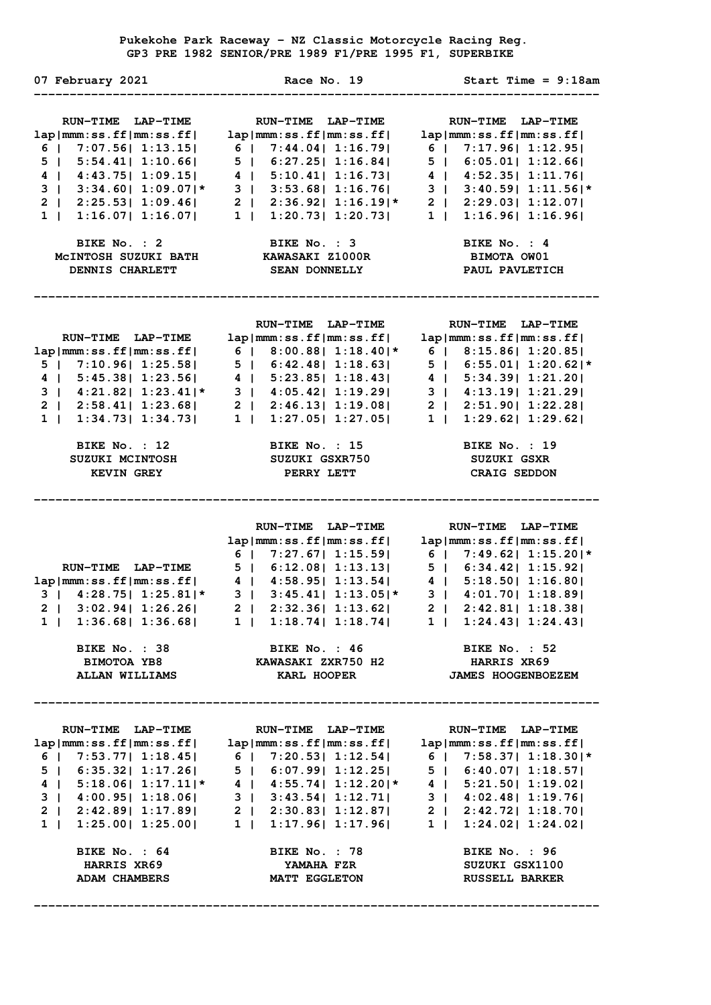**Pukekohe Park Raceway - NZ Classic Motorcycle Racing Reg. GP3 PRE 1982 SENIOR/PRE 1989 F1/PRE 1995 F1, SUPERBIKE** 

| 07 February 2021                                                                                                                                                       | Race No. 19                                                                                                                                                                                                                                                                                                                                                                                                                                                                                                                                                                        | Start Time = $9:18$ am                                                                                                                                                                                                                                                 |
|------------------------------------------------------------------------------------------------------------------------------------------------------------------------|------------------------------------------------------------------------------------------------------------------------------------------------------------------------------------------------------------------------------------------------------------------------------------------------------------------------------------------------------------------------------------------------------------------------------------------------------------------------------------------------------------------------------------------------------------------------------------|------------------------------------------------------------------------------------------------------------------------------------------------------------------------------------------------------------------------------------------------------------------------|
| RUN-TIME LAP-TIME<br>lap mm:ss.ff mm:ss.ff <br>$6$   7:07.56  1:13.15 <br>5   5:54.41   1:10.66  <br>4   4:43.75   1:09.15  <br>BIKE No. : 2<br><b>DENNIS CHARLETT</b> | <b>RUN-TIME LAP-TIME</b><br>lap mm:ss.ff mm:ss.ff <br>6   7:44.04   1:16.79  <br>5   6:27.25   1:16.84  <br>$4$   5:10.41  1:16.73 <br>3   3:53.68   1:16.76  <br>$3$   $3:34.60$   $1:09.07$  * $3$   $3:53.68$   $1:16.76$  <br>2   $2:25.53$   $1:09.46$   2   $2:36.92$   $1:16.19$  *<br>1   1:16.07   1:16.07   1   1:20.73   1:20.73  <br>BIKE No. : 3<br>MCINTOSH SUZUKI BATH KAWASAKI Z1000R<br><b>SEAN DONNELLY</b>                                                                                                                                                      | RUN-TIME LAP-TIME<br>lap mm:ss.ff mm:ss.ff <br>$6$   7:17.96  1:12.95 <br>5   6:05.01   1:12.66  <br>4   4:52.35   1:11.76  <br>3   3:40.59   1:11.56   *<br>2   2:29.03   1:12.07  <br>1   1:16.96   1:16.96 <br>BIKE No. : 4<br><b>BIMOTA OW01</b><br>PAUL PAVLETICH |
| RUN-TIME LAP-TIME<br>5   7:10.96   1:25.58  <br>BIKE No. : 12<br><b>KEVIN GREY</b>                                                                                     | RUN-TIME LAP-TIME<br>lap mm:ss.ff mm:ss.ff <br>lap mmm:ss.ff mm:ss.ff  6   8:00.88  1:18.40 * 6   8:15.86  1:20.85 <br>$5$   6:42.48  1:18.63 <br>4   5:45.38   1:23.56   4   5:23.85   1:18.43  <br>$3$   $4:21.82$   $1:23.41$   $*$ $3$   $4:05.42$   $1:19.29$  <br>2   2:58.41   1:23.68   2   2:46.13   1:19.08  <br>$1 \mid 1:34.73 \mid 1:34.73 \mid 1 \mid 1:27.05 \mid 1:27.05 \mid$<br><b>BIKE No. : 15</b> BIKE No. : 19<br>SUZUKI MCINTOSH SUZUKI GSXR750<br>PERRY LETT                                                                                               | RUN-TIME LAP-TIME<br>lap mm:ss.ff mm:ss.ff <br>$5$   6:55.01  1:20.62 *<br>4   5:34.39   1:21.20  <br>3   4:13.19   1:21.29 <br>2   2:51.90   1:22.28  <br>$1 \mid 1:29.62 \mid 1:29.62 \mid$<br>SUZUKI GSXR<br><b>CRAIG SEDDON</b>                                    |
| $3   4:28.75   1:25.81   *$<br>BIKE No. : 38<br><b>BIMOTOA YB8</b><br>ALLAN WILLIAMS                                                                                   | <b>RUN-TIME LAP-TIME</b><br>$\frac{1}{2} \lim_{n \to \infty} \frac{1}{2} \lim_{n \to \infty} \frac{1}{2} \lim_{n \to \infty} \frac{1}{n} \lim_{n \to \infty} \frac{1}{n}$<br>$6$   7:27.67  1:15.59 <br>RUN-TIME LAP-TIME 5   6:12.08   1:13.13  <br>lap mmm:ss.ff mm:ss.ff  4   4:58.95  1:13.54  4   5:18.50  1:16.80 <br>$3 \mid 3:45.41 \mid 1:13.05 \mid *$<br>2   3:02.94   1:26.26   2   2:32.36   1:13.62   2   2:42.81   1:18.38  <br>1   1:36.68   1:36.68   1   1:18.74   1:18.74   1   1:24.43   1:24.43<br><b>BIKE No. : 46<br/>KAWASAKI ZXR750 H2</b><br>KARL HOOPER | RUN-TIME LAP-TIME<br>lap mm:ss.ff mm:ss.ff <br>$6$   7:49.62   1:15.20   *<br>5   6:34.42   1:15.92  <br>3   4:01.70   1:18.89  <br>BIKE No. : 52<br><b>HARRIS XR69</b><br>HARRIS XR69<br>JAMES HOOGENBOEZEM                                                           |
| <b>HARRIS XR69</b><br>ADAM CHAMBERS                                                                                                                                    | RUN-TIME LAP-TIME NUN-TIME LAP-TIME<br>$\verb lap mm:ss.ff mm:ss.ff ~~ \verb lap mm:ss.ff mm:ss.ff ~~ \verb lap mm:ss.ff mm:ss.ff mm:ss.ff mm:ss.ff ~~$<br>6   7:53.77   1:18.45   6   7:20.53   1:12.54   6   7:58.37   1:18.30   *<br>5   6:35.32   1:17.26   5   6:07.99   1:12.25   5   6:40.07   1:18.57  <br>4   5:18.06   1:17.11   * 4   4:55.74   1:12.20   * 4   5:21.50   1:19.02  <br>3   4:00.95   1:18.06   3   3:43.54   1:12.71   3   4:02.48   1:19.76  <br>2<br>BIKE No. : 64 BIKE No. : 78 BIKE No. : 96<br>YAMAHA FZR<br><b>MATT EGGLETON</b>                  | RUN-TIME LAP-TIME<br>SUZUKI GSX1100<br><b>RUSSELL BARKER</b>                                                                                                                                                                                                           |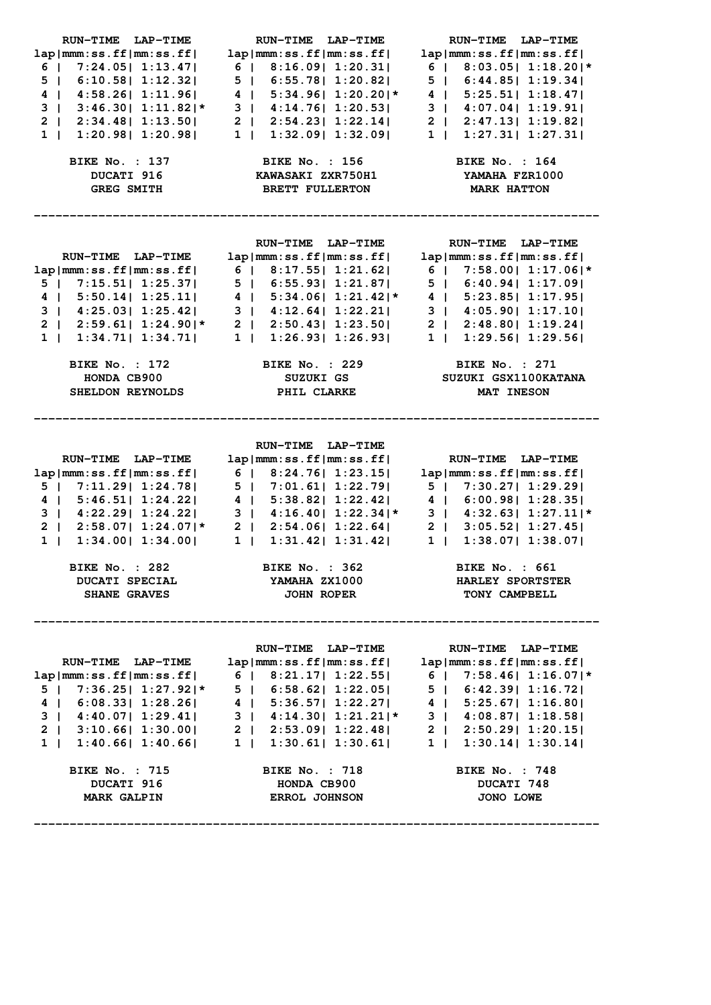| RUN-TIME LAP-TIME                              | RUN-TIME LAP-TIME                                                                                                                               | RUN-TIME LAP-TIME                  |
|------------------------------------------------|-------------------------------------------------------------------------------------------------------------------------------------------------|------------------------------------|
| lap mm:ss.ff mm:ss.ff                          | lap mm:ss.ff mm:ss.ff                                                                                                                           | lap mm:ss.ff mm:ss.ff              |
| $6$   7:24.05   1:13.47                        | $6$   $8:16.09$   $1:20.31$                                                                                                                     | $6$   8:03.05  1:18.20 *           |
| 5   6:10.58   1:12.32                          | 5   6:55.78   1:20.82                                                                                                                           | 5   6:44.85   1:19.34              |
| 4   4:58.26   1:11.96                          | $4$   5:34.96  1:20.20 *                                                                                                                        | 4   5:25.51   1:18.47              |
|                                                | $3$   3:46.30   1:11.82   $\star$   3   4:14.76   1:20.53                                                                                       | 3   4:07.04   1:19.91              |
|                                                | $2   2:34.48   1:13.50   2   2:54.23   1:22.14  $                                                                                               | 2   2:47.13   1:19.82              |
| $1 \mid$                                       | $1:20.98$   $1:20.98$   $1$   $1:32.09$   $1:32.09$                                                                                             | 1   1:27.31   1:27.31              |
|                                                |                                                                                                                                                 |                                    |
| <b>BIKE No. : 137</b>                          | BIKE No. : 156 BIKE No. : 164                                                                                                                   |                                    |
| DUCATI 916                                     | KAWASAKI ZXR750H1                                                                                                                               | YAMAHA FZR1000                     |
| <b>GREG SMITH</b>                              | <b>BRETT FULLERTON</b>                                                                                                                          | <b>MARK HATTON</b>                 |
|                                                |                                                                                                                                                 |                                    |
|                                                |                                                                                                                                                 |                                    |
|                                                |                                                                                                                                                 |                                    |
|                                                | RUN-TIME LAP-TIME                                                                                                                               | RUN-TIME LAP-TIME                  |
| RUN-TIME LAP-TIME                              | lap mm:ss.ff mm:ss.ff                                                                                                                           | lap mm:ss.ff mm:ss.ff              |
|                                                | lap mmm:ss.ff mm:ss.ff  6   8:17.55  1:21.62  6   7:58.00  1:17.06 *                                                                            |                                    |
| $5$   7:15.51   1:25.37                        | 5   6:55.93   1:21.87                                                                                                                           | 5   6:40.94   1:17.09              |
| 4   5:50.14   1:25.11                          | $4 \mid 5:34.06 \mid 1:21.42 \mid *$                                                                                                            | 4   5:23.85   1:17.95              |
| 3   $4:25.03$   $1:25.42$                      | $\begin{array}{c cccc}\n3 & 4 & 4:12.64 & 1:22.21 \\ 2 & 2:50.43 & 1:23.50\n\end{array}$                                                        | 3   4:05.90   1:17.10              |
|                                                | 2   2:59.61  1:24.90 * 2   2:50.43  1:23.50 <br>1   1:34.71  1:34.71  1   1:26.93  1:26.93                                                      | 2   2:48.80   1:19.24              |
|                                                |                                                                                                                                                 | 1   1:29.56   1:29.56              |
|                                                | BIKE No. : 172 BIKE No. : 229 BIKE No. : 271                                                                                                    |                                    |
| HONDA CB900                                    | SUZUKI GS                                                                                                                                       | SUZUKI GSX1100KATANA               |
| SHELDON REYNOLDS                               | PHIL CLARKE                                                                                                                                     | MAT INESON                         |
|                                                |                                                                                                                                                 |                                    |
|                                                |                                                                                                                                                 |                                    |
|                                                |                                                                                                                                                 |                                    |
|                                                | RUN-TIME LAP-TIME                                                                                                                               |                                    |
| RUN-TIME LAP-TIME                              | lap mm:ss.ff mm:ss.ff                                                                                                                           | RUN-TIME LAP-TIME                  |
| lap mm:ss.ff mm:ss.ff                          | 6   8:24.76   1:23.15                                                                                                                           | lap mm:ss.ff mm:ss.ff              |
|                                                | $5$   7:11.29   1:24.78   5   7:01.61   1:22.79                                                                                                 | 5   7:30.27   1:29.29              |
|                                                | 4   5:46.51   1:24.22   4   5:38.82   1:22.42   4   6:00.98   1:28.35                                                                           |                                    |
|                                                | 3   4:22.29   1:24.22   3   4:16.40   1:22.34  * 3   4:32.63   1:27.11  *                                                                       |                                    |
|                                                |                                                                                                                                                 | 2   3:05.52   1:27.45              |
|                                                | 2   2:58.07  1:24.07 * 2   2:54.06  1:22.64 <br>$1 \mid 1:34.00 \mid 1:34.00 \mid 1 \mid 1:31.42 \mid 1:31.42 \mid$                             | $1 \mid 1:38.07 \mid 1:38.07 \mid$ |
|                                                |                                                                                                                                                 |                                    |
| <b>BIKE No. : 282</b>                          | <b>BIKE No. : 362</b>                                                                                                                           | <b>BIKE No. : 661</b>              |
| <b>DUCATI SPECIAL</b>                          | YAMAHA ZX1000                                                                                                                                   | <b>HARLEY SPORTSTER</b>            |
| <b>SHANE GRAVES</b>                            | <b>JOHN ROPER</b>                                                                                                                               | <b>TONY CAMPBELL</b>               |
|                                                |                                                                                                                                                 |                                    |
|                                                |                                                                                                                                                 |                                    |
|                                                | RUN-TIME LAP-TIME                                                                                                                               | RUN-TIME LAP-TIME                  |
| RUN-TIME LAP-TIME                              | $lap mm:ss.ff mm:ss.ff $ $lap mm:ss.ff mm:ss.ff mm:ss.ff $                                                                                      |                                    |
| $lap mm:ss.ff mm:ss.ff $ 6   8:21.17   1:22.55 |                                                                                                                                                 | $6$   7:58.46  1:16.07 *           |
| $5$   7:36.25  1:27.92 *                       | 5   6:58.62   1:22.05                                                                                                                           | 5   6:42.39   1:16.72              |
|                                                |                                                                                                                                                 |                                    |
|                                                | 4   6:08.33   1:28.26   4   5:36.57   1:22.27   4   5:25.67   1:16.80   4   4:40.07   1:29.41   3   4:14.30   1:21.21   * 3   4:08.87   1:18.58 |                                    |
|                                                | $2 \mid 3:10.66 \mid 1:30.00 \mid 2 \mid 2:53.09 \mid 1:22.48 \mid 2 \mid 2:50.29 \mid 1:20.15 \mid$                                            |                                    |
|                                                | $1   1:40.66   1:40.66   1   1:30.61   1:30.61   1:30.14   1:30.14  $                                                                           |                                    |
|                                                | <b>BIKE No. : 718</b>                                                                                                                           | <b>BIKE No. : 748</b>              |
| <b>BIKE No. : 715</b><br>DUCATI 916            | HONDA CB900                                                                                                                                     | DUCATI 748                         |
| <b>MARK GALPIN</b>                             | <b>ERROL JOHNSON</b>                                                                                                                            | JONO LOWE                          |

**-------------------------------------------------------------------------------**